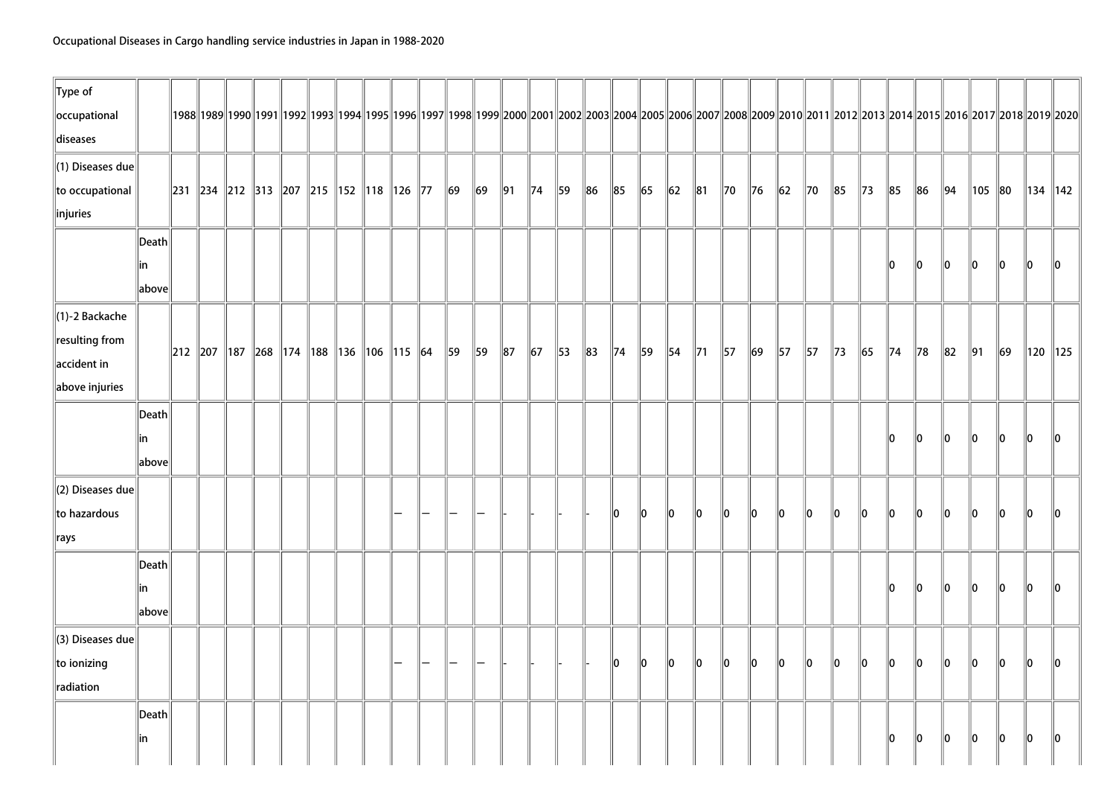| $\ $ Type of                 |                 |                                                          |  |  |  |  |          |          |            |                |                |          |                |         |                |                |                |          |             |                |                |                |                |                |          |                |                                                                                                                                                                                                      |              |               |
|------------------------------|-----------------|----------------------------------------------------------|--|--|--|--|----------|----------|------------|----------------|----------------|----------|----------------|---------|----------------|----------------|----------------|----------|-------------|----------------|----------------|----------------|----------------|----------------|----------|----------------|------------------------------------------------------------------------------------------------------------------------------------------------------------------------------------------------------|--------------|---------------|
| occupational                 |                 |                                                          |  |  |  |  |          |          |            |                |                |          |                |         |                |                |                |          |             |                |                |                |                |                |          |                | 1988  1989  1990  1991  1992  1993  1994  1995  1996  1997  1998  1999  2000  2001  2002  2003  2004  2005  2006  2007  2008  2009  2010  2011  2012  2013  2014  2015  2016  2017  2018  2019  2020 |              |               |
| diseases                     |                 |                                                          |  |  |  |  |          |          |            |                |                |          |                |         |                |                |                |          |             |                |                |                |                |                |          |                |                                                                                                                                                                                                      |              |               |
| $\ $ (1) Diseases due        |                 |                                                          |  |  |  |  |          |          |            |                |                |          |                |         |                |                |                |          |             |                |                |                |                |                |          |                |                                                                                                                                                                                                      |              |               |
| to occupational              |                 | 231   234   212   313   207   215   152   118   126   77 |  |  |  |  | $\ 69\ $ | $\ 69\ $ | $\vert$ 91 | $\parallel$ 74 | $\parallel$ 59 | 86       | $\ 85$         | $\  65$ | $\vert$ 62     | $\ 81$         | $\parallel$ 70 | $\ $ 76  | $\ 62\ $    | $\parallel$ 70 | 85             | $\parallel$ 73 | $\ 85$         | $\ 86$         | 94       | 105   80       |                                                                                                                                                                                                      | ∥134 ∥142    |               |
| $\ $ injuries                |                 |                                                          |  |  |  |  |          |          |            |                |                |          |                |         |                |                |                |          |             |                |                |                |                |                |          |                |                                                                                                                                                                                                      |              |               |
|                              | $\ $ Death $\ $ |                                                          |  |  |  |  |          |          |            |                |                |          |                |         |                |                |                |          |             |                |                |                |                |                |          |                |                                                                                                                                                                                                      |              |               |
|                              | in              |                                                          |  |  |  |  |          |          |            |                |                |          |                |         |                |                |                |          |             |                |                |                | 10             | 10             | 10       | 10             | 10                                                                                                                                                                                                   | 10           | $\parallel 0$ |
|                              | above           |                                                          |  |  |  |  |          |          |            |                |                |          |                |         |                |                |                |          |             |                |                |                |                |                |          |                |                                                                                                                                                                                                      |              |               |
| $\ $ (1)-2 Backache          |                 |                                                          |  |  |  |  |          |          |            |                |                |          |                |         |                |                |                |          |             |                |                |                |                |                |          |                |                                                                                                                                                                                                      |              |               |
| $\ $ resulting from          |                 |                                                          |  |  |  |  |          |          |            |                |                |          |                |         |                |                |                |          |             |                |                |                |                |                |          |                |                                                                                                                                                                                                      |              |               |
| $\parallel$ accident in      |                 | 212   207   187   268   174   188   136   106   115   64 |  |  |  |  | 59       | 59       | $\ 87$     | $\vert$ 67     | $\parallel$ 53 | $\ 83\ $ | $\parallel$ 74 | 59      | $\parallel$ 54 | $\parallel$ 71 | $\vert$ 57     | $\ 69\ $ | 57          | $\parallel$ 57 | $\parallel$ 73 | $\ $ 65        | $\parallel$ 74 | $\parallel$ 78 | $\ 82\ $ | $\parallel$ 91 | $\ 69\ $                                                                                                                                                                                             | $\ 120\ 125$ |               |
| above injuries               |                 |                                                          |  |  |  |  |          |          |            |                |                |          |                |         |                |                |                |          |             |                |                |                |                |                |          |                |                                                                                                                                                                                                      |              |               |
|                              | $\ $ Death $\ $ |                                                          |  |  |  |  |          |          |            |                |                |          |                |         |                |                |                |          |             |                |                |                |                |                |          |                |                                                                                                                                                                                                      |              |               |
|                              | lin             |                                                          |  |  |  |  |          |          |            |                |                |          |                |         |                |                |                |          |             |                |                |                | l0             | 10             | ll0      | ۱O             | ll0                                                                                                                                                                                                  | llo.         | ۱n            |
|                              | above           |                                                          |  |  |  |  |          |          |            |                |                |          |                |         |                |                |                |          |             |                |                |                |                |                |          |                |                                                                                                                                                                                                      |              |               |
| $\parallel$ (2) Diseases due |                 |                                                          |  |  |  |  |          |          |            |                |                |          |                |         |                |                |                |          |             |                |                |                |                |                |          |                |                                                                                                                                                                                                      |              |               |
| to hazardous                 |                 |                                                          |  |  |  |  |          |          |            |                |                |          | 10             | 10      | lo.            | llo.           | llo.           | 10       | 10          | 10             | 10             | 10             | 10             | 10             | 10       | 10             | 10                                                                                                                                                                                                   | 10           | 110           |
| $\ $ rays                    |                 |                                                          |  |  |  |  |          |          |            |                |                |          |                |         |                |                |                |          |             |                |                |                |                |                |          |                |                                                                                                                                                                                                      |              |               |
|                              | $\ $ Death $\ $ |                                                          |  |  |  |  |          |          |            |                |                |          |                |         |                |                |                |          |             |                |                |                |                |                |          |                |                                                                                                                                                                                                      |              |               |
|                              | in              |                                                          |  |  |  |  |          |          |            |                |                |          |                |         |                |                |                |          |             |                |                |                | ll0            | llo.           | 10       | 10             | 10                                                                                                                                                                                                   | 10           | 10            |
|                              | above           |                                                          |  |  |  |  |          |          |            |                |                |          |                |         |                |                |                |          |             |                |                |                |                |                |          |                |                                                                                                                                                                                                      |              |               |
| $\parallel$ (3) Diseases due |                 |                                                          |  |  |  |  |          |          |            |                |                |          |                |         |                |                |                |          |             |                |                |                |                |                |          |                |                                                                                                                                                                                                      |              |               |
| to ionizing                  |                 |                                                          |  |  |  |  |          |          |            |                |                |          | 10             | 10      | 10             | $\ 0\ $        | $\ 0\ $        | $\ 0\ $  | $ 0\rangle$ | $\ 0\ $        | $ 0\rangle$    | $\ 0\ $        | $\ 0\ $        | $\ 0\ $        | $\ 0\ $  | $\ 0\ $        | $\ 0\ $                                                                                                                                                                                              | $\ 0\ $      | 10            |
| radiation                    |                 |                                                          |  |  |  |  |          |          |            |                |                |          |                |         |                |                |                |          |             |                |                |                |                |                |          |                |                                                                                                                                                                                                      |              |               |
|                              | Death           |                                                          |  |  |  |  |          |          |            |                |                |          |                |         |                |                |                |          |             |                |                |                |                |                |          |                |                                                                                                                                                                                                      |              |               |
|                              | in              |                                                          |  |  |  |  |          |          |            |                |                |          |                |         |                |                |                |          |             |                |                |                | 10             | 10             | $\ 0\ $  | 10             | $\ 0\ $                                                                                                                                                                                              | 10           | 10            |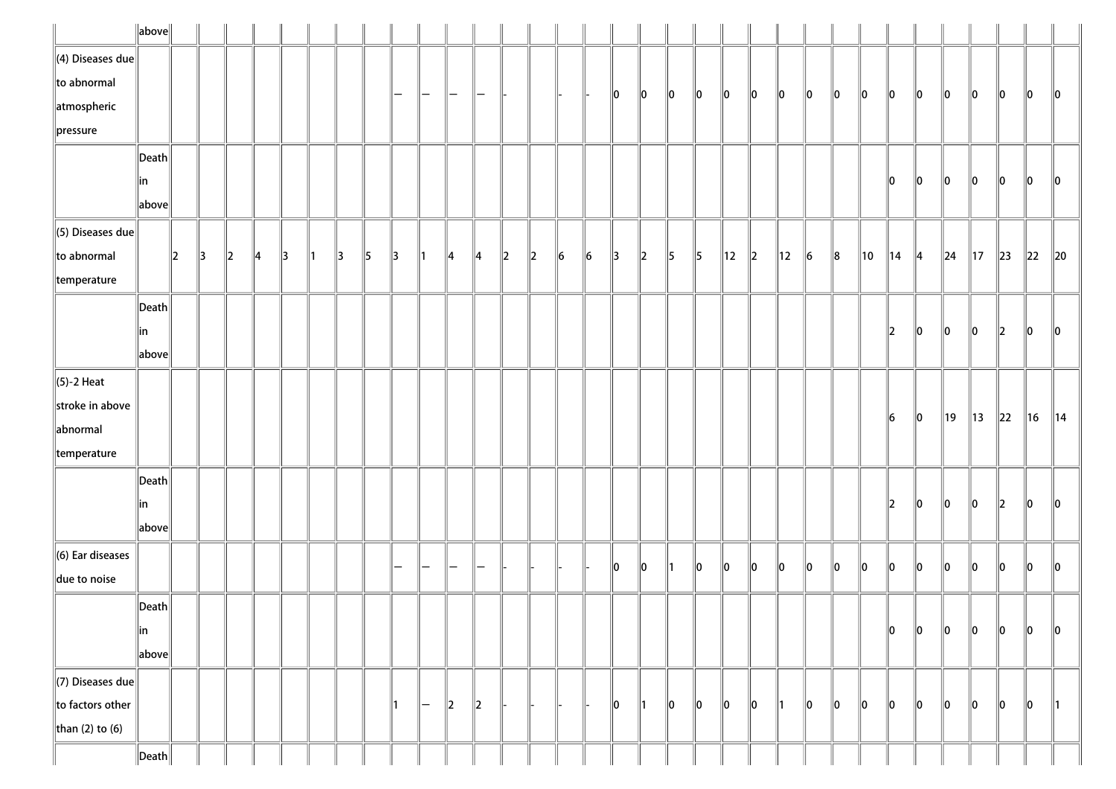|                          | $\ $ above $\ $       |               |               |         |               |               |               |               |               |               |               |               |               |         |             |           |           |               |               |               |               |                |         |                |           |       |    |                |               |                |                |          |                |               |
|--------------------------|-----------------------|---------------|---------------|---------|---------------|---------------|---------------|---------------|---------------|---------------|---------------|---------------|---------------|---------|-------------|-----------|-----------|---------------|---------------|---------------|---------------|----------------|---------|----------------|-----------|-------|----|----------------|---------------|----------------|----------------|----------|----------------|---------------|
| $\ $ (4) Diseases due    |                       |               |               |         |               |               |               |               |               |               |               |               |               |         |             |           |           |               |               |               |               |                |         |                |           |       |    |                |               |                |                |          |                |               |
| $\ $ to abnormal         |                       |               |               |         |               |               |               |               |               | —             | —             | -             |               |         |             |           |           | 10            | 10            | $\ 0\ $       | 10            | 10             | 10      | 10             | 10        | 10    | 10 | 10             | 10            | 10             | 10             | 10       | 10             | $\ 0\ $       |
| atmospheric              |                       |               |               |         |               |               |               |               |               |               |               |               |               |         |             |           |           |               |               |               |               |                |         |                |           |       |    |                |               |                |                |          |                |               |
| $\ $ pressure            |                       |               |               |         |               |               |               |               |               |               |               |               |               |         |             |           |           |               |               |               |               |                |         |                |           |       |    |                |               |                |                |          |                |               |
|                          | $ \mathsf{Death} $    |               |               |         |               |               |               |               |               |               |               |               |               |         |             |           |           |               |               |               |               |                |         |                |           |       |    |                |               |                |                |          |                |               |
|                          | in                    |               |               |         |               |               |               |               |               |               |               |               |               |         |             |           |           |               |               |               |               |                |         |                |           |       |    | 10             | 10            | 10             | 10             | 10       | 10             | 10            |
|                          | above                 |               |               |         |               |               |               |               |               |               |               |               |               |         |             |           |           |               |               |               |               |                |         |                |           |       |    |                |               |                |                |          |                |               |
| $\ $ (5) Diseases due    |                       |               |               |         |               |               |               |               |               |               |               |               |               |         |             |           |           |               |               |               |               |                |         |                |           |       |    |                |               |                |                |          |                |               |
| $\ $ to abnormal         |                       | $\parallel$ 2 | $\parallel$ 3 | $\ 2\ $ | $\parallel$ 4 | $\parallel$ 3 | $\parallel$ 1 | $\parallel$ 3 | $\parallel$ 5 | $\parallel$ 3 | $\parallel$ 1 | ∥4            | 4             | $\ 2\ $ | $\parallel$ | $\vert$ 6 | $\vert$ 6 | $\parallel$ 3 | $\ 2\ $       | $\parallel$ 5 | $\parallel$ 5 | $\parallel$ 12 | $\ 2\ $ | $\parallel$ 12 | $\vert$ 6 | $\ 8$ | 10 | $\parallel$ 14 | $\parallel$ 4 | $\ 24$         | $\parallel$ 17 | $\ 23\ $ | $\parallel$ 22 | $\ 20$        |
| $\parallel$ temperature  |                       |               |               |         |               |               |               |               |               |               |               |               |               |         |             |           |           |               |               |               |               |                |         |                |           |       |    |                |               |                |                |          |                |               |
|                          | $\vert$ Death $\vert$ |               |               |         |               |               |               |               |               |               |               |               |               |         |             |           |           |               |               |               |               |                |         |                |           |       |    |                |               |                |                |          |                |               |
|                          | in                    |               |               |         |               |               |               |               |               |               |               |               |               |         |             |           |           |               |               |               |               |                |         |                |           |       |    | 2              | 10            | 10             | 10             | 2        | 10             | 10            |
|                          | above                 |               |               |         |               |               |               |               |               |               |               |               |               |         |             |           |           |               |               |               |               |                |         |                |           |       |    |                |               |                |                |          |                |               |
| $\ $ (5)-2 Heat          |                       |               |               |         |               |               |               |               |               |               |               |               |               |         |             |           |           |               |               |               |               |                |         |                |           |       |    |                |               |                |                |          |                |               |
| stroke in above          |                       |               |               |         |               |               |               |               |               |               |               |               |               |         |             |           |           |               |               |               |               |                |         |                |           |       |    | 16             | $\ 0\ $       | $\parallel$ 19 | 13             | 22       | 16             | 14            |
| abnormal                 |                       |               |               |         |               |               |               |               |               |               |               |               |               |         |             |           |           |               |               |               |               |                |         |                |           |       |    |                |               |                |                |          |                |               |
| $\parallel$ temperature  |                       |               |               |         |               |               |               |               |               |               |               |               |               |         |             |           |           |               |               |               |               |                |         |                |           |       |    |                |               |                |                |          |                |               |
|                          | $\vert$ Death $\vert$ |               |               |         |               |               |               |               |               |               |               |               |               |         |             |           |           |               |               |               |               |                |         |                |           |       |    |                |               |                |                |          |                |               |
|                          | in                    |               |               |         |               |               |               |               |               |               |               |               |               |         |             |           |           |               |               |               |               |                |         |                |           |       |    | 12             | 10            | $\ 0\ $        | 10             | 12       | 10             | 10            |
|                          | above                 |               |               |         |               |               |               |               |               |               |               |               |               |         |             |           |           |               |               |               |               |                |         |                |           |       |    |                |               |                |                |          |                |               |
| $\ $ (6) Ear diseases    |                       |               |               |         |               |               |               |               |               |               |               |               |               |         |             |           |           | 10            | 10            | ∥1            | 10            | 10             | 10      | 10             | 10        | 10    | 10 | llo            | ∥o            | $\ 0\ $        | 10             | 10       | 10             | $\ 0\ $       |
| due to noise             |                       |               |               |         |               |               |               |               |               |               |               |               |               |         |             |           |           |               |               |               |               |                |         |                |           |       |    |                |               |                |                |          |                |               |
|                          | $\ $ Death $\ $       |               |               |         |               |               |               |               |               |               |               |               |               |         |             |           |           |               |               |               |               |                |         |                |           |       |    |                |               |                |                |          |                |               |
|                          | ∥in                   |               |               |         |               |               |               |               |               |               |               |               |               |         |             |           |           |               |               |               |               |                |         |                |           |       |    | 10             | $\ 0\ $       | $\ 0\ $        | 10             | 10       | 10             | 10            |
|                          | above                 |               |               |         |               |               |               |               |               |               |               |               |               |         |             |           |           |               |               |               |               |                |         |                |           |       |    |                |               |                |                |          |                |               |
| $\Vert$ (7) Diseases due |                       |               |               |         |               |               |               |               |               |               |               |               |               |         |             |           |           |               |               |               |               |                |         |                |           |       |    |                |               |                |                |          |                |               |
| $\ $ to factors other    |                       |               |               |         |               |               |               |               |               |               | $-$           | $\parallel$ 2 | $\parallel$ 2 |         |             |           |           | 10            | $\parallel$ 1 | $\ 0\ $       | 10            | 10             | 10      | ∥1             | 10        | 10    | 10 | $\ 0\ $        | 10            | 10             | 10             | 10       | 10             | $\parallel$ 1 |
| than (2) to (6)          |                       |               |               |         |               |               |               |               |               |               |               |               |               |         |             |           |           |               |               |               |               |                |         |                |           |       |    |                |               |                |                |          |                |               |
|                          | $\ $ Death $\ $       |               |               |         |               |               |               |               |               |               |               |               |               |         |             |           |           |               |               |               |               |                |         |                |           |       |    |                |               |                |                |          |                |               |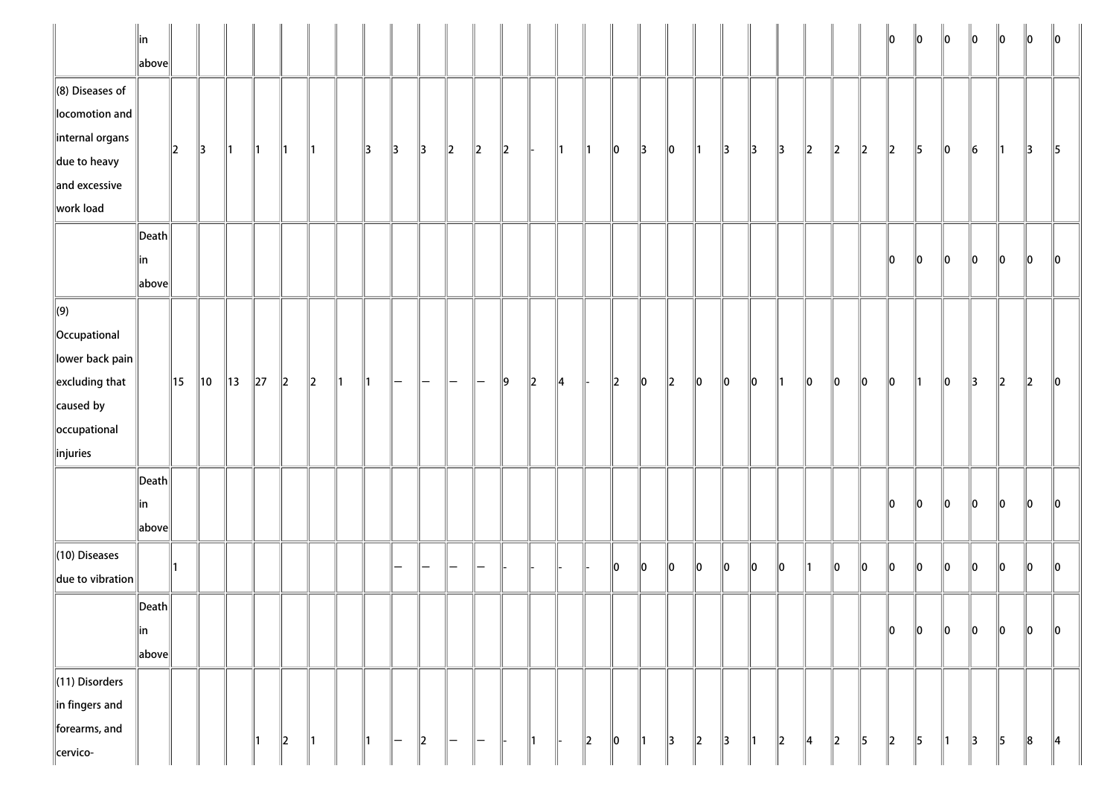|                                                                                                                                       | $\parallel$ in<br>$\ $ above $\ $               |               |                |                |               |                          |               |               |               |                   |               |                                |                   |               |               |               |               |                          |               |             |         |               |    |         |    |         |    | 10        | 10            | $\ 0\ $       | 10            | $\parallel$ 0 | 10 | $\parallel$ 0 |
|---------------------------------------------------------------------------------------------------------------------------------------|-------------------------------------------------|---------------|----------------|----------------|---------------|--------------------------|---------------|---------------|---------------|-------------------|---------------|--------------------------------|-------------------|---------------|---------------|---------------|---------------|--------------------------|---------------|-------------|---------|---------------|----|---------|----|---------|----|-----------|---------------|---------------|---------------|---------------|----|---------------|
| $\ $ (8) Diseases of<br>locomotion and<br>$\parallel$ internal organs                                                                 |                                                 | $\parallel$ 2 | $\parallel$ 3  | $\parallel$ 1  | $\parallel$ 1 | ∥1                       | ∥1            |               | 13            | $\parallel$ 3     | $\parallel$ 3 | $\ 2\ $                        | $\ 2\ $           | $\ 2\ $       |               | ∥1∶           | $\parallel$ 1 | $\ 0\ $                  | $\parallel$ 3 | 10          | 11      | 3             | 13 | 13      | 12 | $\ 2\ $ | 2  | $\vert$ 2 | 5             | 10            | 16            | 11            | 3  | 5             |
| $\parallel$ due to heavy<br>$\ $ and excessive<br>work load                                                                           |                                                 |               |                |                |               |                          |               |               |               |                   |               |                                |                   |               |               |               |               |                          |               |             |         |               |    |         |    |         |    |           |               |               |               |               |    |               |
|                                                                                                                                       | $\vert$ Death $\vert$<br>∥in<br>$\ $ above $\ $ |               |                |                |               |                          |               |               |               |                   |               |                                |                   |               |               |               |               |                          |               |             |         |               |    |         |    |         |    | 10        | 10            | 10            | 10            | 10            | 10 | 10            |
| $\Vert(9)\Vert$<br>  Occupational<br>lower back pain<br>$\parallel$ excluding that<br>$\ $ caused by<br>occupational<br>$\ $ injuries |                                                 | 15            | $\parallel$ 10 | $\parallel$ 13 | $\ 27\ $      | $\ 2\ $                  | $\ 2\ $       | $\parallel$ 1 | $\parallel$ 1 | $\qquad \qquad -$ | —             | $\qquad \qquad -$              | $\qquad \qquad -$ | $\parallel$ 9 | $\parallel$ 2 | $\parallel$ 4 |               | $\parallel$ <sub>2</sub> | 10            | $ 2\rangle$ | 10      | $\ 0\ $       | 10 | 11      | 10 | 10      | 10 | 10        | ∥1            | 10            | 13            | 2             | 12 | 10            |
|                                                                                                                                       | $\vert$ Death $\vert$<br>∥in<br>above           |               |                |                |               |                          |               |               |               |                   |               |                                |                   |               |               |               |               |                          |               |             |         |               |    |         |    |         |    | 10        | 10            | 10            | 10            | 10            | 10 | 10            |
| $\ $ (10) Diseases<br>$\ $ due to vibration                                                                                           |                                                 |               |                |                |               |                          |               |               |               |                   |               |                                |                   |               |               |               |               | $\ 0\ $                  | 10            | 10          | 10      | $\ 0\ $       | 10 | 10      | ∥1 | 10      | 10 | 10        | ∥o            | $\ 0\ $       | 10            | 10            | 10 | $\ 0\ $       |
|                                                                                                                                       | $\ $ Death $\ $<br>$\ $ in<br>$\ $ above $\ $   |               |                |                |               |                          |               |               |               |                   |               |                                |                   |               |               |               |               |                          |               |             |         |               |    |         |    |         |    | 10        | 0             | $\ 0\ $       | 10            | 10            | 10 | 10            |
| (11) Disorders<br>$\ $ in fingers and<br>forearms, and<br>cervico-                                                                    |                                                 |               |                |                | $\parallel$ 1 | $\parallel$ <sub>2</sub> | $\parallel$ 1 |               | ∥1            | -                 | $\parallel$ 2 | $\qquad \qquad \longleftarrow$ | ll —              |               | $\parallel$ 1 |               | $\ 2\ $       | $\ 0\ $                  | $\parallel$ 1 | 3           | $\ 2\ $ | $\parallel$ 3 | 1  | $\ 2\ $ | 4  | $\ 2\ $ | 5  | 2         | $\parallel$ 5 | $\parallel$ 1 | $\parallel$ 3 | 5             | 8  | $\parallel$ 4 |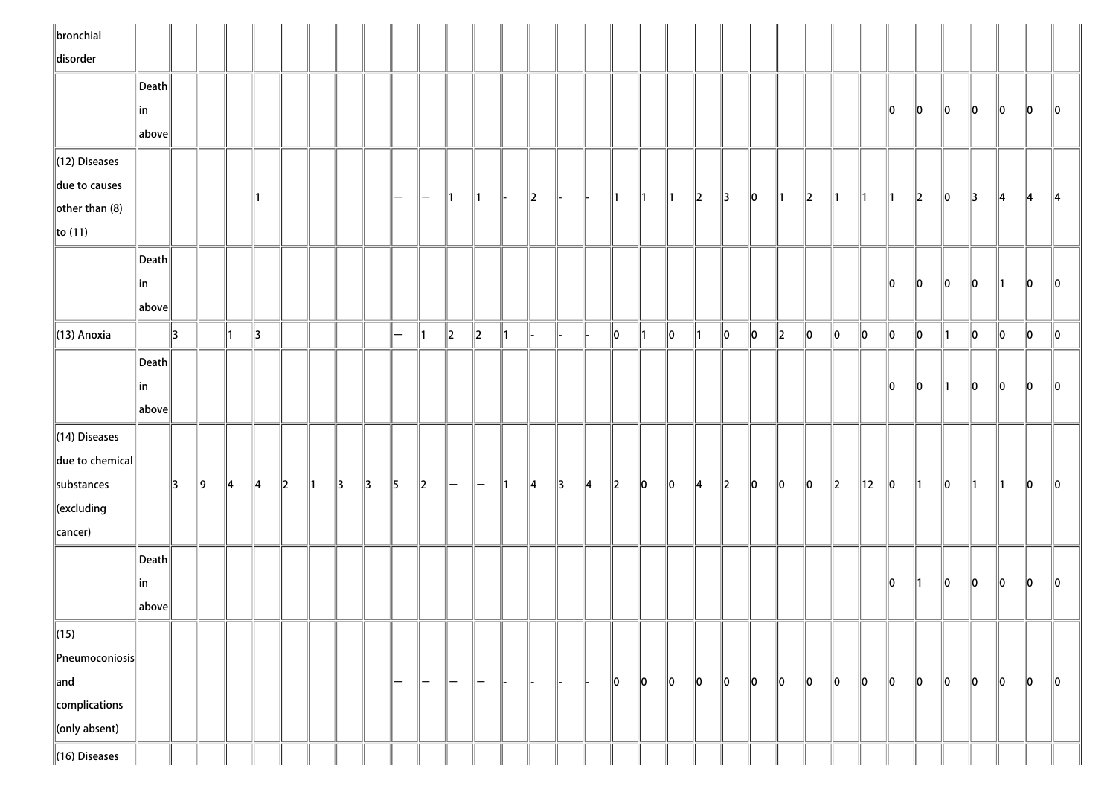| $\ $ bronchial                     |                       |               |    |               |               |         |               |               |               |           |         |              |                   |               |               |               |               |               |               |               |               |               |         |               |         |           |               |         |         |    |     |         |         |                 |
|------------------------------------|-----------------------|---------------|----|---------------|---------------|---------|---------------|---------------|---------------|-----------|---------|--------------|-------------------|---------------|---------------|---------------|---------------|---------------|---------------|---------------|---------------|---------------|---------|---------------|---------|-----------|---------------|---------|---------|----|-----|---------|---------|-----------------|
| disorder                           |                       |               |    |               |               |         |               |               |               |           |         |              |                   |               |               |               |               |               |               |               |               |               |         |               |         |           |               |         |         |    |     |         |         |                 |
|                                    | $\vert$ Death $\vert$ |               |    |               |               |         |               |               |               |           |         |              |                   |               |               |               |               |               |               |               |               |               |         |               |         |           |               |         |         |    |     |         |         |                 |
|                                    | ∥in                   |               |    |               |               |         |               |               |               |           |         |              |                   |               |               |               |               |               |               |               |               |               |         |               |         |           |               | 10      | 10      | 10 | 10  | 10      | 10      | $\mathsf{I}$ lo |
|                                    | above                 |               |    |               |               |         |               |               |               |           |         |              |                   |               |               |               |               |               |               |               |               |               |         |               |         |           |               |         |         |    |     |         |         |                 |
| $\ $ (12) Diseases                 |                       |               |    |               |               |         |               |               |               |           |         |              |                   |               |               |               |               |               |               |               |               |               |         |               |         |           |               |         |         |    |     |         |         |                 |
| due to causes                      |                       |               |    |               |               |         |               |               |               |           |         |              |                   |               |               |               |               |               |               |               |               |               |         |               |         |           |               |         |         |    |     |         |         |                 |
| $\left\Vert$ other than (8)        |                       |               |    |               |               |         |               |               |               | $-$       | $-$     | $\mathsf{I}$ | $\parallel$ 1     |               | $\ 2\ $       | H-            |               | $\parallel$ 1 | $\parallel$ 1 | $\parallel$ 1 | $\ 2\ $       | $\parallel$ 3 | $\ 0\ $ | $\parallel$ 1 | $\ 2\ $ | ∥1        | $\parallel$ 1 | ∥1      | $\ 2\ $ | 10 | 13  | 14      | 14      | $\parallel$ 4   |
| $\ $ to (11)                       |                       |               |    |               |               |         |               |               |               |           |         |              |                   |               |               |               |               |               |               |               |               |               |         |               |         |           |               |         |         |    |     |         |         |                 |
|                                    | $\ $ Death $\ $       |               |    |               |               |         |               |               |               |           |         |              |                   |               |               |               |               |               |               |               |               |               |         |               |         |           |               |         |         |    |     |         |         |                 |
|                                    | ∥in                   |               |    |               |               |         |               |               |               |           |         |              |                   |               |               |               |               |               |               |               |               |               |         |               |         |           |               | 10      | 10      | 10 | 10  |         | 10      | 10              |
|                                    | above                 |               |    |               |               |         |               |               |               |           |         |              |                   |               |               |               |               |               |               |               |               |               |         |               |         |           |               |         |         |    |     |         |         |                 |
| $\ $ (13) Anoxia                   |                       | 3             |    | ∥1            | $\parallel$ 3 |         |               |               |               | $\equiv$  | ∥1      | $\ 2\ $      | $\ 2\ $           | 11            |               |               |               | $\ 0\ $       | $\parallel$ 1 | $\ 0\ $       | $\parallel$ 1 | $ 0\rangle$   | 10      | $\ 2\ $       | $\ 0\ $ | $\ 0\ $   | $\ 0\ $       | $\ 0\ $ | 0       | 11 | 0   | $\ 0\ $ | $\ 0\ $ | $\ 0\ $         |
|                                    | Death                 |               |    |               |               |         |               |               |               |           |         |              |                   |               |               |               |               |               |               |               |               |               |         |               |         |           |               |         |         |    |     |         |         |                 |
|                                    | ∥in                   |               |    |               |               |         |               |               |               |           |         |              |                   |               |               |               |               |               |               |               |               |               |         |               |         |           |               | llo.    | 10      |    | llo | 10      | $\ 0\ $ | 10              |
|                                    | above                 |               |    |               |               |         |               |               |               |           |         |              |                   |               |               |               |               |               |               |               |               |               |         |               |         |           |               |         |         |    |     |         |         |                 |
| $\parallel$ (14) Diseases          |                       |               |    |               |               |         |               |               |               |           |         |              |                   |               |               |               |               |               |               |               |               |               |         |               |         |           |               |         |         |    |     |         |         |                 |
| $\ $ due to chemical               |                       |               |    |               |               |         |               |               |               |           |         |              |                   |               |               |               |               |               |               |               |               |               |         |               |         |           |               |         |         |    |     |         |         |                 |
| substances                         |                       | $\parallel$ 3 | ∥9 | $\parallel$ 4 | $\parallel$ 4 | $\ 2\ $ | $\parallel$ 1 | $\parallel$ 3 | $\parallel$ 3 | $\vert$ 5 | $\ 2\ $ | $-$          | $\overline{}$     | $\parallel$ 1 | $\parallel$ 4 | $\parallel$ 3 | $\parallel$ 4 | $\ 2\ $       | $\ 0\ $       | $ 0\rangle$   | $\parallel$ 4 | 2             | $\ 0\ $ | $\ 0\ $       | $\ 0\ $ | $\vert$ 2 | 12            |         | 11.     | 10 | 11  | ∥1∶     | $\ 0\ $ | $\parallel$ 0   |
| $\ $ (excluding                    |                       |               |    |               |               |         |               |               |               |           |         |              |                   |               |               |               |               |               |               |               |               |               |         |               |         |           |               | 10      |         |    |     |         |         |                 |
| cancer)                            |                       |               |    |               |               |         |               |               |               |           |         |              |                   |               |               |               |               |               |               |               |               |               |         |               |         |           |               |         |         |    |     |         |         |                 |
|                                    |                       |               |    |               |               |         |               |               |               |           |         |              |                   |               |               |               |               |               |               |               |               |               |         |               |         |           |               |         |         |    |     |         |         |                 |
|                                    | $\vert$ Death $\vert$ |               |    |               |               |         |               |               |               |           |         |              |                   |               |               |               |               |               |               |               |               |               |         |               |         |           |               |         |         |    |     |         |         |                 |
|                                    | in                    |               |    |               |               |         |               |               |               |           |         |              |                   |               |               |               |               |               |               |               |               |               |         |               |         |           |               | 10      | 11      | 10 | 10  | 10      | llo     | 10              |
|                                    | above                 |               |    |               |               |         |               |               |               |           |         |              |                   |               |               |               |               |               |               |               |               |               |         |               |         |           |               |         |         |    |     |         |         |                 |
| $\sqrt{(15)}$                      |                       |               |    |               |               |         |               |               |               |           |         |              |                   |               |               |               |               |               |               |               |               |               |         |               |         |           |               |         |         |    |     |         |         |                 |
| $\left\ $ Pneumoconiosis $\right $ |                       |               |    |               |               |         |               |               |               |           |         |              |                   |               |               |               |               |               |               |               |               |               |         |               |         |           |               |         |         |    |     |         |         |                 |
| $\ $ and                           |                       |               |    |               |               |         |               |               |               | -         | —       | $-$          | $\qquad \qquad -$ |               |               |               |               | $\ 0\ $       | $\ 0\ $       | 0             | $\ 0\ $       | $\ 0\ $       | 10      | 10            | $\ 0\ $ | 10        | $\ 0\ $       | 10      | 10      | 10 | 10  | 10      | $\ 0\ $ | $\ 0\ $         |
| complications                      |                       |               |    |               |               |         |               |               |               |           |         |              |                   |               |               |               |               |               |               |               |               |               |         |               |         |           |               |         |         |    |     |         |         |                 |
| $\ $ (only absent)                 |                       |               |    |               |               |         |               |               |               |           |         |              |                   |               |               |               |               |               |               |               |               |               |         |               |         |           |               |         |         |    |     |         |         |                 |
| $\parallel$ (16) Diseases          |                       |               |    |               |               |         |               |               |               |           |         |              |                   |               |               |               |               |               |               |               |               |               |         |               |         |           |               |         |         |    |     |         |         |                 |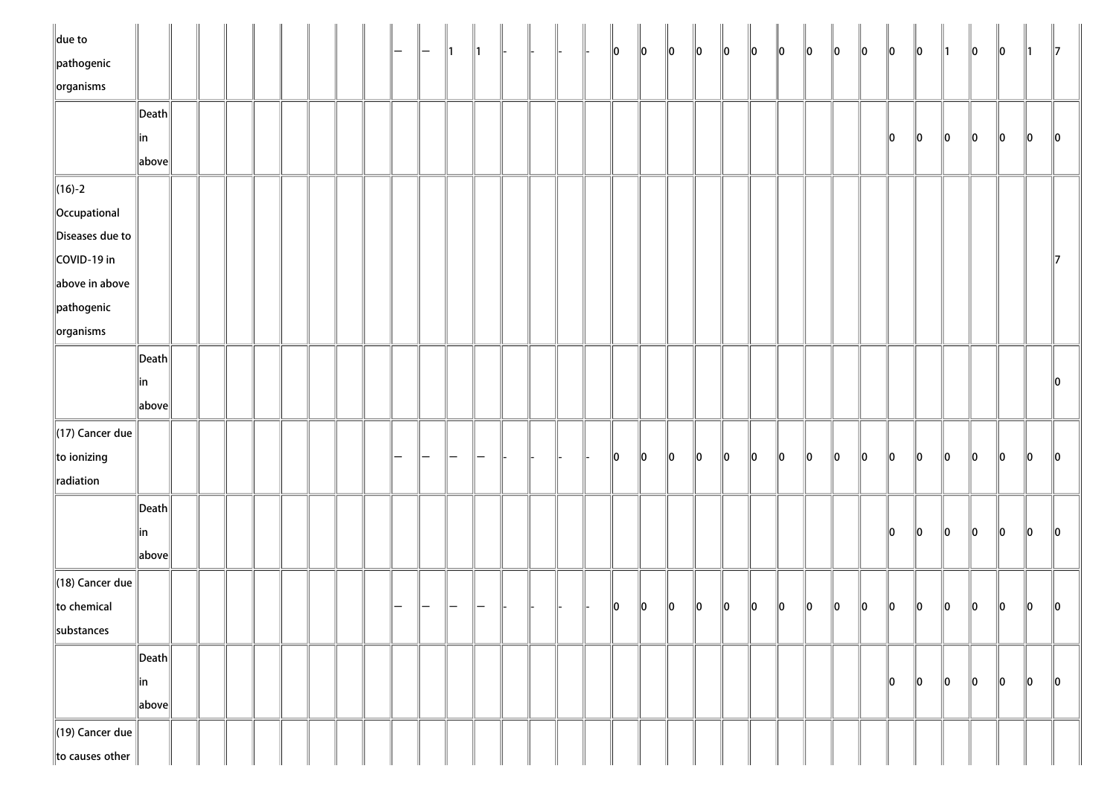| $\ $ due to                     |                                        |  |  |  |  |  |  |  |  | $\ 0\ $       | $\ 0\ $ | $\ 0\ $     | $\ 0\ $     | $\ 0\ $ | $\ 0\ $     | $\ 0\ $     | $\ 0\ $ | $\ 0\ $ | $\ 0\ $ | $\ 0\ $ | $\ 0\ $ | $\parallel$ 1 | $\ 0\ $ | $\ 0\ $ | $\parallel$ 1 | $\parallel$ 7 |
|---------------------------------|----------------------------------------|--|--|--|--|--|--|--|--|---------------|---------|-------------|-------------|---------|-------------|-------------|---------|---------|---------|---------|---------|---------------|---------|---------|---------------|---------------|
| $\parallel$ pathogenic          |                                        |  |  |  |  |  |  |  |  |               |         |             |             |         |             |             |         |         |         |         |         |               |         |         |               |               |
| $\sqrt{\frac{1}{10}}$ organisms |                                        |  |  |  |  |  |  |  |  |               |         |             |             |         |             |             |         |         |         |         |         |               |         |         |               |               |
|                                 | $\left\Vert \mathsf{Death}\right\Vert$ |  |  |  |  |  |  |  |  |               |         |             |             |         |             |             |         |         |         |         |         |               |         |         |               |               |
|                                 | ∥in                                    |  |  |  |  |  |  |  |  |               |         |             |             |         |             |             |         |         |         | 10      | $\ 0\ $ | $\ 0\ $       | $\ 0\ $ | $\ 0\ $ | $\ 0\ $       | $\ 0\ $       |
|                                 | $\ $ above $\ $                        |  |  |  |  |  |  |  |  |               |         |             |             |         |             |             |         |         |         |         |         |               |         |         |               |               |
| $\ $ (16)-2                     |                                        |  |  |  |  |  |  |  |  |               |         |             |             |         |             |             |         |         |         |         |         |               |         |         |               |               |
| Occupational                    |                                        |  |  |  |  |  |  |  |  |               |         |             |             |         |             |             |         |         |         |         |         |               |         |         |               |               |
| Diseases due to                 |                                        |  |  |  |  |  |  |  |  |               |         |             |             |         |             |             |         |         |         |         |         |               |         |         |               |               |
| COVID-19 in                     |                                        |  |  |  |  |  |  |  |  |               |         |             |             |         |             |             |         |         |         |         |         |               |         |         |               | $\mathbb I$ 7 |
| above in above                  |                                        |  |  |  |  |  |  |  |  |               |         |             |             |         |             |             |         |         |         |         |         |               |         |         |               |               |
| $\parallel$ pathogenic          |                                        |  |  |  |  |  |  |  |  |               |         |             |             |         |             |             |         |         |         |         |         |               |         |         |               |               |
| $\ $ organisms                  |                                        |  |  |  |  |  |  |  |  |               |         |             |             |         |             |             |         |         |         |         |         |               |         |         |               |               |
|                                 | $\ $ Death $\ $                        |  |  |  |  |  |  |  |  |               |         |             |             |         |             |             |         |         |         |         |         |               |         |         |               |               |
|                                 | in                                     |  |  |  |  |  |  |  |  |               |         |             |             |         |             |             |         |         |         |         |         |               |         |         |               | $\ 0\ $       |
|                                 | $\ $ above $\ $                        |  |  |  |  |  |  |  |  |               |         |             |             |         |             |             |         |         |         |         |         |               |         |         |               |               |
| $\parallel$ (17) Cancer due     |                                        |  |  |  |  |  |  |  |  |               |         |             |             |         |             |             |         |         |         |         |         |               |         |         |               |               |
| to ionizing                     |                                        |  |  |  |  |  |  |  |  | $\parallel$ 0 | 10      | $\ 0\ $     | $ 0\rangle$ | $\ 0\ $ | $ 0\rangle$ | $ 0\rangle$ | $\ 0\ $ | $\ 0\ $ | $\ 0\ $ | $\ 0\ $ | $\ 0\ $ | $\ 0\ $       | $\ 0\ $ | $\ 0\ $ | $\ 0\ $       | $\ 0\ $       |
| radiation                       |                                        |  |  |  |  |  |  |  |  |               |         |             |             |         |             |             |         |         |         |         |         |               |         |         |               |               |
|                                 | $\left\Vert \mathsf{Death}\right\Vert$ |  |  |  |  |  |  |  |  |               |         |             |             |         |             |             |         |         |         |         |         |               |         |         |               |               |
|                                 |                                        |  |  |  |  |  |  |  |  |               |         |             |             |         |             |             |         |         |         | $\ 0\ $ | $\ 0\ $ | $\ 0\ $       | $\ 0\ $ | $\ 0\ $ | $\ 0\ $       | $\ 0\ $       |
|                                 | ∥in                                    |  |  |  |  |  |  |  |  |               |         |             |             |         |             |             |         |         |         |         |         |               |         |         |               |               |
|                                 | $\ $ above $\ $                        |  |  |  |  |  |  |  |  |               |         |             |             |         |             |             |         |         |         |         |         |               |         |         |               |               |
| $\parallel$ (18) Cancer due     |                                        |  |  |  |  |  |  |  |  |               |         |             |             |         |             |             |         |         |         |         |         |               |         |         |               |               |
| to chemical                     |                                        |  |  |  |  |  |  |  |  | 10            | $\ 0\ $ | $\parallel$ | $\ 0\ $     | $\ 0\ $ | $\ 0\ $     | $\ 0\ $     | $\ 0\ $ | $\ 0\ $ | $\ 0\ $ | $\ 0\ $ | $\ 0\ $ | $\ 0\ $       | $\ 0\ $ | $\ 0\ $ | $\ 0\ $       | $\parallel$ 0 |
| substances                      |                                        |  |  |  |  |  |  |  |  |               |         |             |             |         |             |             |         |         |         |         |         |               |         |         |               |               |
|                                 | $\vert$ Death $\vert$                  |  |  |  |  |  |  |  |  |               |         |             |             |         |             |             |         |         |         |         |         |               |         |         |               |               |
|                                 | ∥in                                    |  |  |  |  |  |  |  |  |               |         |             |             |         |             |             |         |         |         | 10      | 10      | 10            | $\ 0\ $ | $\ 0\ $ | $\ 0\ $       | $\ 0\ $       |
|                                 | $\ $ above $\ $                        |  |  |  |  |  |  |  |  |               |         |             |             |         |             |             |         |         |         |         |         |               |         |         |               |               |
| $\parallel$ (19) Cancer due     |                                        |  |  |  |  |  |  |  |  |               |         |             |             |         |             |             |         |         |         |         |         |               |         |         |               |               |
| to causes other                 |                                        |  |  |  |  |  |  |  |  |               |         |             |             |         |             |             |         |         |         |         |         |               |         |         |               |               |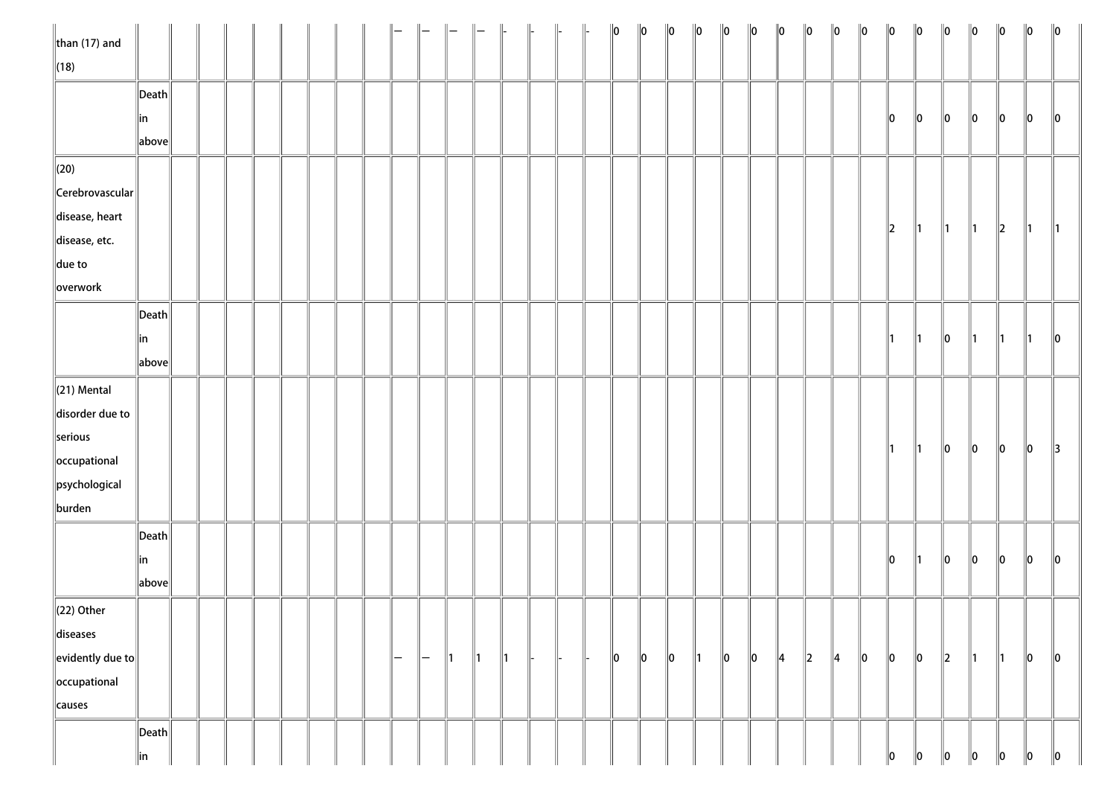| $\ $ than (17) and         |                       |  |  |  |  |     |               |               | $\parallel -$ | $\parallel$   | $\parallel$ |  | $\ 0\ $ | $\ 0\ $ | $\ 0\ $ | $\ 0\ $       | $\ 0\ $     | $\ 0\ $ | $\ 0\ $       | $\ 0\ $ | $\ 0\ $       | $\ 0\ $ | $\ 0\ $       | $\ 0\ $       | $\ 0\ $       | $\ 0\ $       | $\ 0\ $       | $\ 0\ $     | $\ 0\ $       |
|----------------------------|-----------------------|--|--|--|--|-----|---------------|---------------|---------------|---------------|-------------|--|---------|---------|---------|---------------|-------------|---------|---------------|---------|---------------|---------|---------------|---------------|---------------|---------------|---------------|-------------|---------------|
| $\ $ (18)                  |                       |  |  |  |  |     |               |               |               |               |             |  |         |         |         |               |             |         |               |         |               |         |               |               |               |               |               |             |               |
|                            | $\ $ Death $\ $       |  |  |  |  |     |               |               |               |               |             |  |         |         |         |               |             |         |               |         |               |         |               |               |               |               |               |             |               |
|                            | ∥in                   |  |  |  |  |     |               |               |               |               |             |  |         |         |         |               |             |         |               |         |               |         | 10            | $\ 0\ $       | $\ 0\ $       | 10            | 10            | 10          | $\parallel$ 0 |
|                            | above                 |  |  |  |  |     |               |               |               |               |             |  |         |         |         |               |             |         |               |         |               |         |               |               |               |               |               |             |               |
| $\parallel$ (20)           |                       |  |  |  |  |     |               |               |               |               |             |  |         |         |         |               |             |         |               |         |               |         |               |               |               |               |               |             |               |
| $\ $ Cerebrovascular $\ $  |                       |  |  |  |  |     |               |               |               |               |             |  |         |         |         |               |             |         |               |         |               |         |               |               |               |               |               |             |               |
| disease, heart             |                       |  |  |  |  |     |               |               |               |               |             |  |         |         |         |               |             |         |               |         |               |         |               |               |               |               |               |             |               |
| disease, etc.              |                       |  |  |  |  |     |               |               |               |               |             |  |         |         |         |               |             |         |               |         |               |         | $\ 2\ $       | ∥1            | $\parallel$ 1 | $\parallel$ 1 | $\ 2\ $       | 11.         | $\parallel$ 1 |
| $\ $ due to                |                       |  |  |  |  |     |               |               |               |               |             |  |         |         |         |               |             |         |               |         |               |         |               |               |               |               |               |             |               |
| overwork                   |                       |  |  |  |  |     |               |               |               |               |             |  |         |         |         |               |             |         |               |         |               |         |               |               |               |               |               |             |               |
|                            | $\vert$ Death $\vert$ |  |  |  |  |     |               |               |               |               |             |  |         |         |         |               |             |         |               |         |               |         |               |               |               |               |               |             |               |
|                            | in                    |  |  |  |  |     |               |               |               |               |             |  |         |         |         |               |             |         |               |         |               |         | $\parallel$ 1 | $\parallel$ 1 | $\ 0\ $       | $\parallel$ 1 | $\parallel$ 1 | ∥1          | $\ 0\ $       |
|                            | above                 |  |  |  |  |     |               |               |               |               |             |  |         |         |         |               |             |         |               |         |               |         |               |               |               |               |               |             |               |
| $\ $ (21) Mental           |                       |  |  |  |  |     |               |               |               |               |             |  |         |         |         |               |             |         |               |         |               |         |               |               |               |               |               |             |               |
| disorder due to            |                       |  |  |  |  |     |               |               |               |               |             |  |         |         |         |               |             |         |               |         |               |         |               |               |               |               |               |             |               |
| serious                    |                       |  |  |  |  |     |               |               |               |               |             |  |         |         |         |               |             |         |               |         |               |         |               |               |               |               |               |             |               |
| occupational               |                       |  |  |  |  |     |               |               |               |               |             |  |         |         |         |               |             |         |               |         |               |         | $\parallel$ 1 | $\parallel$ 1 | $\ 0\ $       | $\ 0\ $       | $\ 0\ $       | $ 0\rangle$ | $\parallel$ 3 |
| psychological              |                       |  |  |  |  |     |               |               |               |               |             |  |         |         |         |               |             |         |               |         |               |         |               |               |               |               |               |             |               |
| burden                     |                       |  |  |  |  |     |               |               |               |               |             |  |         |         |         |               |             |         |               |         |               |         |               |               |               |               |               |             |               |
|                            | $\ $ Death $\ $       |  |  |  |  |     |               |               |               |               |             |  |         |         |         |               |             |         |               |         |               |         |               |               |               |               |               |             |               |
|                            | ∥in                   |  |  |  |  |     |               |               |               |               |             |  |         |         |         |               |             |         |               |         |               |         | $\ 0\ $       | $\parallel$ 1 | $ 0\rangle$   | $\ 0\ $       | $\ 0\ $       | $ 0\rangle$ | $\ 0\ $       |
|                            | above                 |  |  |  |  |     |               |               |               |               |             |  |         |         |         |               |             |         |               |         |               |         |               |               |               |               |               |             |               |
| $\ $ (22) Other            |                       |  |  |  |  |     |               |               |               |               |             |  |         |         |         |               |             |         |               |         |               |         |               |               |               |               |               |             |               |
| diseases                   |                       |  |  |  |  |     |               |               |               |               |             |  |         |         |         |               |             |         |               |         |               |         |               |               |               |               |               |             |               |
| $\ $ evidently due to $\ $ |                       |  |  |  |  | $-$ | $\overline{}$ | $\parallel$ 1 | $\parallel$ 1 | $\parallel$ 1 |             |  | $\ 0\ $ | $\ 0\ $ | $\ 0\ $ | $\parallel$ 1 | $ 0\rangle$ | $\ 0\ $ | $\parallel$ 4 | $\ 2\ $ | $\parallel$ 4 | $\ 0\ $ | $ 0\rangle$   | $\ 0\ $       | $\ 2\ $       | ∥1            | $\parallel$ 1 | $ 0\rangle$ | $\ 0\ $       |
| occupational               |                       |  |  |  |  |     |               |               |               |               |             |  |         |         |         |               |             |         |               |         |               |         |               |               |               |               |               |             |               |
| causes                     |                       |  |  |  |  |     |               |               |               |               |             |  |         |         |         |               |             |         |               |         |               |         |               |               |               |               |               |             |               |
|                            | $\vert$ Death $\vert$ |  |  |  |  |     |               |               |               |               |             |  |         |         |         |               |             |         |               |         |               |         |               |               |               |               |               |             |               |
|                            | in                    |  |  |  |  |     |               |               |               |               |             |  |         |         |         |               |             |         |               |         |               |         | 10            | 10            | 10            | 10            | 10            | 10          | $\ 0\ $       |